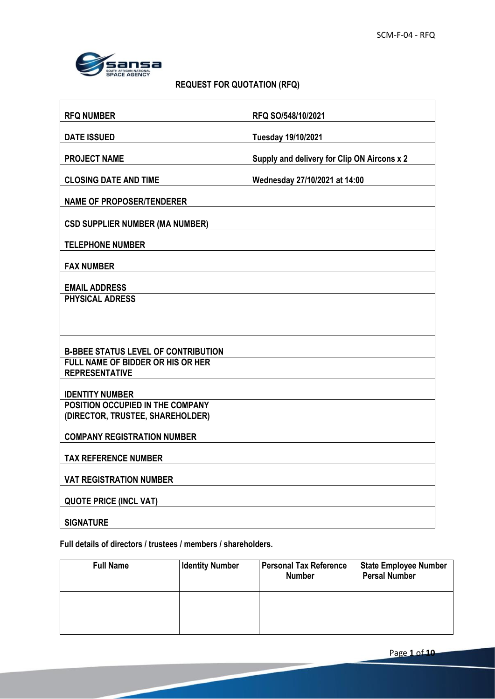٦



**r** 

# **REQUEST FOR QUOTATION (RFQ)**

| <b>RFQ NUMBER</b>                                                    | RFQ SO/548/10/2021                          |
|----------------------------------------------------------------------|---------------------------------------------|
| <b>DATE ISSUED</b>                                                   | Tuesday 19/10/2021                          |
| <b>PROJECT NAME</b>                                                  | Supply and delivery for Clip ON Aircons x 2 |
| <b>CLOSING DATE AND TIME</b>                                         | Wednesday 27/10/2021 at 14:00               |
| <b>NAME OF PROPOSER/TENDERER</b>                                     |                                             |
| <b>CSD SUPPLIER NUMBER (MA NUMBER)</b>                               |                                             |
| <b>TELEPHONE NUMBER</b>                                              |                                             |
| <b>FAX NUMBER</b>                                                    |                                             |
| <b>EMAIL ADDRESS</b>                                                 |                                             |
| <b>PHYSICAL ADRESS</b>                                               |                                             |
|                                                                      |                                             |
| <b>B-BBEE STATUS LEVEL OF CONTRIBUTION</b>                           |                                             |
| <b>FULL NAME OF BIDDER OR HIS OR HER</b><br><b>REPRESENTATIVE</b>    |                                             |
| <b>IDENTITY NUMBER</b>                                               |                                             |
| POSITION OCCUPIED IN THE COMPANY<br>(DIRECTOR, TRUSTEE, SHAREHOLDER) |                                             |
| <b>COMPANY REGISTRATION NUMBER</b>                                   |                                             |
| <b>TAX REFERENCE NUMBER</b>                                          |                                             |
| <b>VAT REGISTRATION NUMBER</b>                                       |                                             |
| <b>QUOTE PRICE (INCL VAT)</b>                                        |                                             |
| <b>SIGNATURE</b>                                                     |                                             |

**Full details of directors / trustees / members / shareholders.**

| <b>Full Name</b> | <b>Identity Number</b> | <b>Personal Tax Reference</b><br><b>Number</b> | <b>State Employee Number</b><br><b>Persal Number</b> |
|------------------|------------------------|------------------------------------------------|------------------------------------------------------|
|                  |                        |                                                |                                                      |
|                  |                        |                                                |                                                      |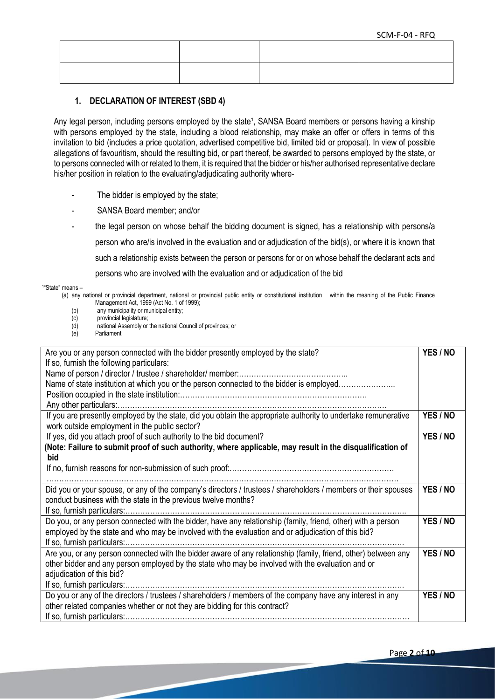### **1. DECLARATION OF INTEREST (SBD 4)**

Any legal person, including persons employed by the state<sup>1</sup>, SANSA Board members or persons having a kinship with persons employed by the state, including a blood relationship, may make an offer or offers in terms of this invitation to bid (includes a price quotation, advertised competitive bid, limited bid or proposal). In view of possible allegations of favouritism, should the resulting bid, or part thereof, be awarded to persons employed by the state, or to persons connected with or related to them, it is required that the bidder or his/her authorised representative declare his/her position in relation to the evaluating/adjudicating authority where-

- The bidder is employed by the state;
- SANSA Board member; and/or
- the legal person on whose behalf the bidding document is signed, has a relationship with persons/a person who are/is involved in the evaluation and or adjudication of the bid(s), or where it is known that such a relationship exists between the person or persons for or on whose behalf the declarant acts and persons who are involved with the evaluation and or adjudication of the bid

<sup>1</sup>"State" means –

 (a) any national or provincial department, national or provincial public entity or constitutional institution within the meaning of the Public Finance Management Act, 1999 (Act No. 1 of 1999);

- (b) any municipality or municipal entity;
- (c) provincial legislature;
- (d) national Assembly or the national Council of provinces; or<br>(e) Parliament
- Parliament

| Are you or any person connected with the bidder presently employed by the state?<br>If so, furnish the following particulars: | YES / NO |
|-------------------------------------------------------------------------------------------------------------------------------|----------|
|                                                                                                                               |          |
| Name of state institution at which you or the person connected to the bidder is employed                                      |          |
|                                                                                                                               |          |
|                                                                                                                               |          |
| If you are presently employed by the state, did you obtain the appropriate authority to undertake remunerative                | YES / NO |
| work outside employment in the public sector?                                                                                 |          |
| If yes, did you attach proof of such authority to the bid document?                                                           | YES / NO |
| (Note: Failure to submit proof of such authority, where applicable, may result in the disqualification of                     |          |
| <b>bid</b>                                                                                                                    |          |
|                                                                                                                               |          |
|                                                                                                                               |          |
| Did you or your spouse, or any of the company's directors / trustees / shareholders / members or their spouses                | YES / NO |
| conduct business with the state in the previous twelve months?                                                                |          |
|                                                                                                                               |          |
| Do you, or any person connected with the bidder, have any relationship (family, friend, other) with a person                  | YES / NO |
| employed by the state and who may be involved with the evaluation and or adjudication of this bid?                            |          |
|                                                                                                                               |          |
| Are you, or any person connected with the bidder aware of any relationship (family, friend, other) between any                | YES / NO |
| other bidder and any person employed by the state who may be involved with the evaluation and or                              |          |
| adjudication of this bid?                                                                                                     |          |
|                                                                                                                               |          |
| Do you or any of the directors / trustees / shareholders / members of the company have any interest in any                    | YES / NO |
| other related companies whether or not they are bidding for this contract?                                                    |          |
|                                                                                                                               |          |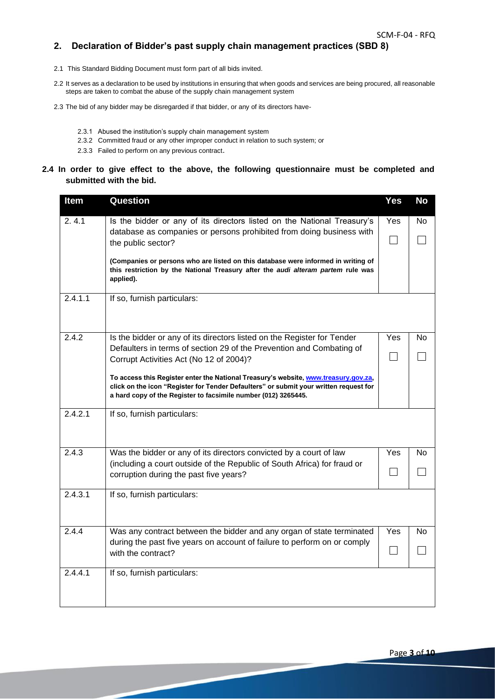### **2. Declaration of Bidder's past supply chain management practices (SBD 8)**

- 2.1 This Standard Bidding Document must form part of all bids invited.
- 2.2 It serves as a declaration to be used by institutions in ensuring that when goods and services are being procured, all reasonable steps are taken to combat the abuse of the supply chain management system
- 2.3 The bid of any bidder may be disregarded if that bidder, or any of its directors have-
	- 2.3.1 Abused the institution's supply chain management system
	- 2.3.2 Committed fraud or any other improper conduct in relation to such system; or
	- 2.3.3 Failed to perform on any previous contract.

#### **2.4 In order to give effect to the above, the following questionnaire must be completed and submitted with the bid.**

| Item    | <b>Question</b>                                                                                                                                                                                                                                | <b>Yes</b> | <b>No</b> |
|---------|------------------------------------------------------------------------------------------------------------------------------------------------------------------------------------------------------------------------------------------------|------------|-----------|
| 2.4.1   | Is the bidder or any of its directors listed on the National Treasury's                                                                                                                                                                        | Yes        | No.       |
|         | database as companies or persons prohibited from doing business with<br>the public sector?                                                                                                                                                     |            |           |
|         | (Companies or persons who are listed on this database were informed in writing of<br>this restriction by the National Treasury after the <i>audi alteram partem</i> rule was<br>applied).                                                      |            |           |
| 2.4.1.1 | If so, furnish particulars:                                                                                                                                                                                                                    |            |           |
| 2.4.2   | Is the bidder or any of its directors listed on the Register for Tender                                                                                                                                                                        | Yes        | No        |
|         | Defaulters in terms of section 29 of the Prevention and Combating of<br>Corrupt Activities Act (No 12 of 2004)?                                                                                                                                |            |           |
|         | To access this Register enter the National Treasury's website, www.treasury.gov.za,<br>click on the icon "Register for Tender Defaulters" or submit your written request for<br>a hard copy of the Register to facsimile number (012) 3265445. |            |           |
| 2.4.2.1 | If so, furnish particulars:                                                                                                                                                                                                                    |            |           |
| 2.4.3   | Was the bidder or any of its directors convicted by a court of law                                                                                                                                                                             | Yes        | No        |
|         | (including a court outside of the Republic of South Africa) for fraud or<br>corruption during the past five years?                                                                                                                             |            |           |
| 2.4.3.1 | If so, furnish particulars:                                                                                                                                                                                                                    |            |           |
| 2.4.4   | Was any contract between the bidder and any organ of state terminated                                                                                                                                                                          | Yes        | No        |
|         | during the past five years on account of failure to perform on or comply<br>with the contract?                                                                                                                                                 |            |           |
| 2.4.4.1 | If so, furnish particulars:                                                                                                                                                                                                                    |            |           |
|         |                                                                                                                                                                                                                                                |            |           |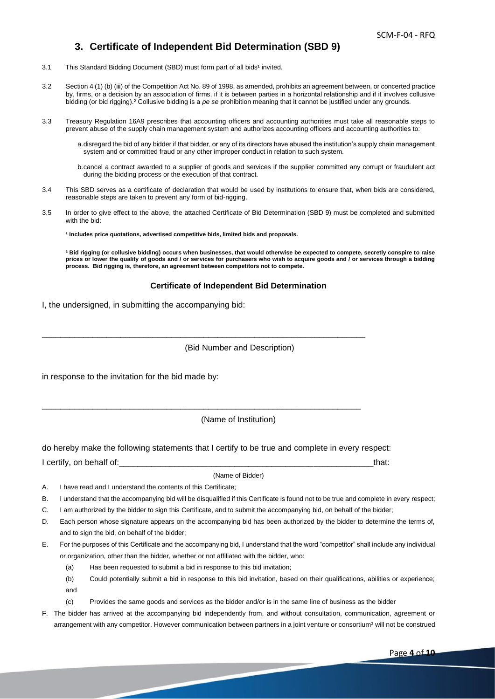## **3. Certificate of Independent Bid Determination (SBD 9)**

- 3.1 This Standard Bidding Document (SBD) must form part of all bids<sup>1</sup> invited.
- 3.2 Section 4 (1) (b) (iii) of the Competition Act No. 89 of 1998, as amended, prohibits an agreement between, or concerted practice by, firms, or a decision by an association of firms, if it is between parties in a horizontal relationship and if it involves collusive bidding (or bid rigging).² Collusive bidding is a *pe se* prohibition meaning that it cannot be justified under any grounds.
- 3.3 Treasury Regulation 16A9 prescribes that accounting officers and accounting authorities must take all reasonable steps to prevent abuse of the supply chain management system and authorizes accounting officers and accounting authorities to:

a.disregard the bid of any bidder if that bidder, or any of its directors have abused the institution's supply chain management system and or committed fraud or any other improper conduct in relation to such system.

b.cancel a contract awarded to a supplier of goods and services if the supplier committed any corrupt or fraudulent act during the bidding process or the execution of that contract.

- 3.4 This SBD serves as a certificate of declaration that would be used by institutions to ensure that, when bids are considered, reasonable steps are taken to prevent any form of bid-rigging.
- 3.5 In order to give effect to the above, the attached Certificate of Bid Determination (SBD 9) must be completed and submitted with the bid:

**¹ Includes price quotations, advertised competitive bids, limited bids and proposals.**

**² Bid rigging (or collusive bidding) occurs when businesses, that would otherwise be expected to compete, secretly conspire to raise prices or lower the quality of goods and / or services for purchasers who wish to acquire goods and / or services through a bidding process. Bid rigging is, therefore, an agreement between competitors not to compete.**

#### **Certificate of Independent Bid Determination**

I, the undersigned, in submitting the accompanying bid:

#### (Bid Number and Description)

in response to the invitation for the bid made by:

(Name of Institution)

do hereby make the following statements that I certify to be true and complete in every respect:

I certify, on behalf of: etc. The state of the state of the state of the state of the state of the state of the state of the state of the state of the state of the state of the state of the state of the state of the state

\_\_\_\_\_\_\_\_\_\_\_\_\_\_\_\_\_\_\_\_\_\_\_\_\_\_\_\_\_\_\_\_\_\_\_\_\_\_\_\_\_\_\_\_\_\_\_\_\_\_\_\_\_\_\_\_\_\_\_\_\_\_\_\_\_\_\_\_\_\_

\_\_\_\_\_\_\_\_\_\_\_\_\_\_\_\_\_\_\_\_\_\_\_\_\_\_\_\_\_\_\_\_\_\_\_\_\_\_\_\_\_\_\_\_\_\_\_\_\_\_\_\_\_\_\_\_\_\_\_\_\_\_\_\_\_\_\_\_\_

#### (Name of Bidder)

- A. I have read and I understand the contents of this Certificate;
- B. I understand that the accompanying bid will be disqualified if this Certificate is found not to be true and complete in every respect;
- C. I am authorized by the bidder to sign this Certificate, and to submit the accompanying bid, on behalf of the bidder;
- D. Each person whose signature appears on the accompanying bid has been authorized by the bidder to determine the terms of, and to sign the bid, on behalf of the bidder;
- E. For the purposes of this Certificate and the accompanying bid, I understand that the word "competitor" shall include any individual or organization, other than the bidder, whether or not affiliated with the bidder, who:
	- (a) Has been requested to submit a bid in response to this bid invitation;
	- (b) Could potentially submit a bid in response to this bid invitation, based on their qualifications, abilities or experience; and
	- (c) Provides the same goods and services as the bidder and/or is in the same line of business as the bidder
- F. The bidder has arrived at the accompanying bid independently from, and without consultation, communication, agreement or arrangement with any competitor. However communication between partners in a joint venture or consortium<sup>3</sup> will not be construed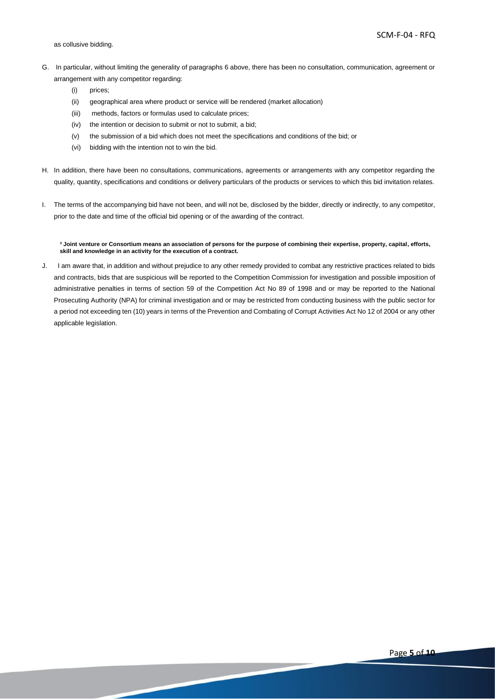- G. In particular, without limiting the generality of paragraphs 6 above, there has been no consultation, communication, agreement or arrangement with any competitor regarding:
	- (i) prices;
	- (ii) geographical area where product or service will be rendered (market allocation)
	- (iii) methods, factors or formulas used to calculate prices;
	- (iv) the intention or decision to submit or not to submit, a bid;
	- (v) the submission of a bid which does not meet the specifications and conditions of the bid; or
	- (vi) bidding with the intention not to win the bid.
- H. In addition, there have been no consultations, communications, agreements or arrangements with any competitor regarding the quality, quantity, specifications and conditions or delivery particulars of the products or services to which this bid invitation relates.
- I. The terms of the accompanying bid have not been, and will not be, disclosed by the bidder, directly or indirectly, to any competitor, prior to the date and time of the official bid opening or of the awarding of the contract.

**³ Joint venture or Consortium means an association of persons for the purpose of combining their expertise, property, capital, efforts, skill and knowledge in an activity for the execution of a contract.**

J. I am aware that, in addition and without prejudice to any other remedy provided to combat any restrictive practices related to bids and contracts, bids that are suspicious will be reported to the Competition Commission for investigation and possible imposition of administrative penalties in terms of section 59 of the Competition Act No 89 of 1998 and or may be reported to the National Prosecuting Authority (NPA) for criminal investigation and or may be restricted from conducting business with the public sector for a period not exceeding ten (10) years in terms of the Prevention and Combating of Corrupt Activities Act No 12 of 2004 or any other applicable legislation.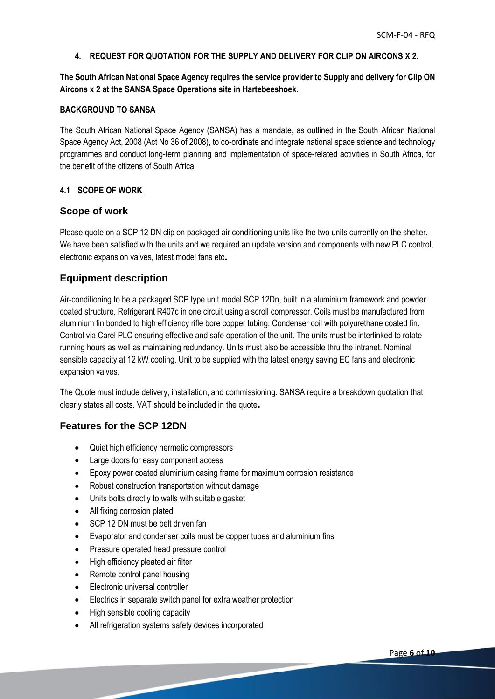### **4. REQUEST FOR QUOTATION FOR THE SUPPLY AND DELIVERY FOR CLIP ON AIRCONS X 2.**

**The South African National Space Agency requires the service provider to Supply and delivery for Clip ON Aircons x 2 at the SANSA Space Operations site in Hartebeeshoek.**

### **BACKGROUND TO SANSA**

The South African National Space Agency (SANSA) has a mandate, as outlined in the South African National Space Agency Act, 2008 (Act No 36 of 2008), to co-ordinate and integrate national space science and technology programmes and conduct long-term planning and implementation of space-related activities in South Africa, for the benefit of the citizens of South Africa

### **4.1 SCOPE OF WORK**

## **Scope of work**

Please quote on a SCP 12 DN clip on packaged air conditioning units like the two units currently on the shelter. We have been satisfied with the units and we required an update version and components with new PLC control, electronic expansion valves, latest model fans etc**.** 

# **Equipment description**

Air-conditioning to be a packaged SCP type unit model SCP 12Dn, built in a aluminium framework and powder coated structure. Refrigerant R407c in one circuit using a scroll compressor. Coils must be manufactured from aluminium fin bonded to high efficiency rifle bore copper tubing. Condenser coil with polyurethane coated fin. Control via Carel PLC ensuring effective and safe operation of the unit. The units must be interlinked to rotate running hours as well as maintaining redundancy. Units must also be accessible thru the intranet. Nominal sensible capacity at 12 kW cooling. Unit to be supplied with the latest energy saving EC fans and electronic expansion valves.

The Quote must include delivery, installation, and commissioning. SANSA require a breakdown quotation that clearly states all costs. VAT should be included in the quote**.** 

# **Features for the SCP 12DN**

- Quiet high efficiency hermetic compressors
- Large doors for easy component access
- Epoxy power coated aluminium casing frame for maximum corrosion resistance
- Robust construction transportation without damage
- Units bolts directly to walls with suitable gasket
- All fixing corrosion plated
- SCP 12 DN must be belt driven fan
- Evaporator and condenser coils must be copper tubes and aluminium fins
- Pressure operated head pressure control
- High efficiency pleated air filter
- Remote control panel housing
- Electronic universal controller
- Electrics in separate switch panel for extra weather protection
- High sensible cooling capacity
- All refrigeration systems safety devices incorporated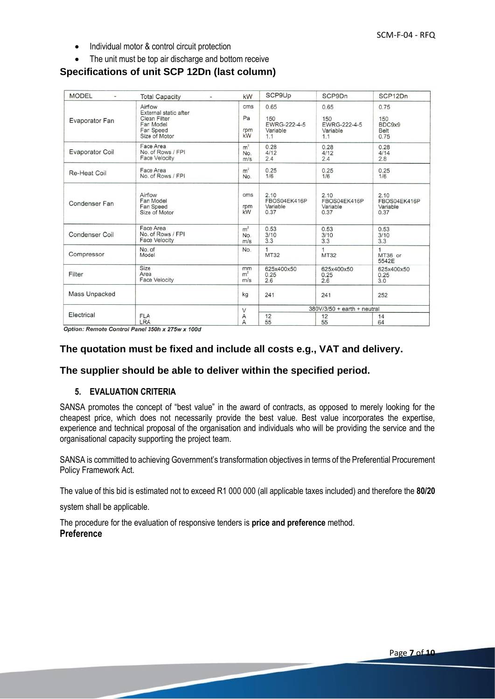- Individual motor & control circuit protection
- The unit must be top air discharge and bottom receive

# **Specifications of unit SCP 12Dn (last column)**

| <b>MODEL</b><br>$\overline{a}$ | <b>Total Capacity</b><br>٠                                                                        | kW                           | SCP9Up                                         | SCP9Dn                                         | SCP <sub>12</sub> D <sub>n</sub>         |
|--------------------------------|---------------------------------------------------------------------------------------------------|------------------------------|------------------------------------------------|------------------------------------------------|------------------------------------------|
| Evaporator Fan                 | Airfow<br>External static after<br><b>Clean Filter</b><br>Far Model<br>Far Speed<br>Size of Motor | cms<br>Pa<br>rpm<br>kW       | 0.65<br>150<br>EWRG-222-4-5<br>Variable<br>1.1 | 0.65<br>150<br>EWRG-222-4-5<br>Variable<br>1.1 | 0.75<br>150<br>BDC9x9<br>Belt<br>0.75    |
| <b>Evaporator Coil</b>         | Face Area<br>No. of Rows / FPI<br><b>Face Velocity</b>                                            | m <sup>2</sup><br>No.<br>m/s | 0.28<br>4/12<br>2.4                            | 0.28<br>4/12<br>2.4                            | 0.28<br>4/14<br>2.8                      |
| Re-Heat Coil                   | Face Area<br>No. of Rows / FPI                                                                    | m <sup>2</sup><br>No.        | 0.25<br>1/6                                    | 0.25<br>1/6                                    | 0.25<br>1/6                              |
| Condenser Fan                  | Airflow<br>Fan Model<br>Fan Speed<br>Size of Motor                                                | cms<br>rpm<br>kW             | 2.10<br>FBOS04EK416P<br>Variable<br>0.37       | 2.10<br>FBOS04EK416P<br>Variable<br>0.37       | 2.10<br>FBOS04EK416P<br>Variable<br>0.37 |
| <b>Condenser Coil</b>          | Face Area<br>No. of Rows / FPI<br><b>Face Velocity</b>                                            | m <sup>2</sup><br>No.<br>m/s | 0.53<br>3/10<br>3.3                            | 0.53<br>3/10<br>3.3                            | 0.53<br>3/10<br>3.3                      |
| Compressor                     | No. of<br>Model                                                                                   | No.                          | $\mathbf{1}$<br>MT32                           | 1<br>MT32                                      | 1<br>MT36 or<br>5542E                    |
| Filter                         | Size<br>Area<br><b>Face Velocity</b>                                                              | mm<br>m <sup>2</sup><br>m/s  | 625x400x50<br>0.25<br>2.6                      | 625x400x50<br>0.25<br>2.6                      | 625x400x50<br>0.25<br>3.0                |
| Mass Unpacked                  |                                                                                                   | kg                           | 241                                            | 241                                            | 252                                      |
|                                |                                                                                                   | $\vee$                       |                                                | 380V/3/50 + earth + neutral                    |                                          |
| Electrical                     | <b>FLA</b><br>LRA                                                                                 | Α<br>$\overline{A}$          | 12<br>55                                       | 12<br>55                                       | 14<br>64                                 |

Option: Remote Control Panel 350h x 275w x 100d

## **The quotation must be fixed and include all costs e.g., VAT and delivery.**

### **The supplier should be able to deliver within the specified period.**

### **5. EVALUATION CRITERIA**

SANSA promotes the concept of "best value" in the award of contracts, as opposed to merely looking for the cheapest price, which does not necessarily provide the best value. Best value incorporates the expertise, experience and technical proposal of the organisation and individuals who will be providing the service and the organisational capacity supporting the project team.

SANSA is committed to achieving Government's transformation objectives in terms of the Preferential Procurement Policy Framework Act.

The value of this bid is estimated not to exceed R1 000 000 (all applicable taxes included) and therefore the **80/20**

system shall be applicable.

The procedure for the evaluation of responsive tenders is **price and preference** method. **Preference**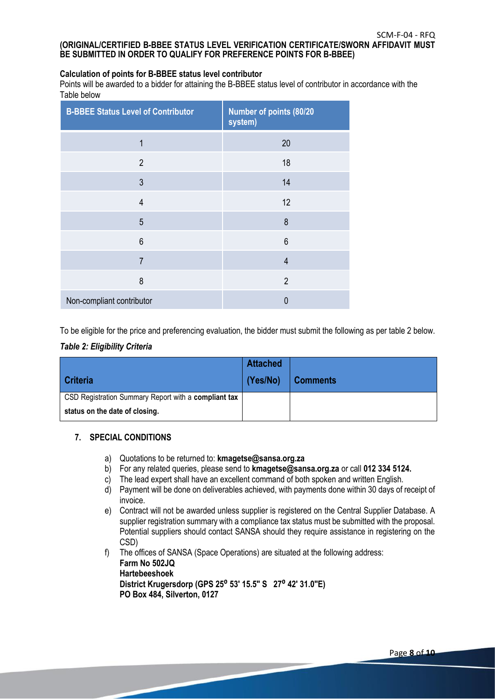### **Calculation of points for B-BBEE status level contributor**

Points will be awarded to a bidder for attaining the B-BBEE status level of contributor in accordance with the Table below

| <b>B-BBEE Status Level of Contributor</b> | Number of points (80/20<br>system) |
|-------------------------------------------|------------------------------------|
| $\mathbf 1$                               | 20                                 |
| $\overline{2}$                            | 18                                 |
| 3                                         | 14                                 |
| $\overline{4}$                            | 12                                 |
| 5                                         | 8                                  |
| 6                                         | 6                                  |
| $\overline{7}$                            | $\overline{4}$                     |
| 8                                         | $\overline{2}$                     |
| Non-compliant contributor                 | O                                  |

To be eligible for the price and preferencing evaluation, the bidder must submit the following as per table 2 below.

### *Table 2: Eligibility Criteria*

|                                                      | <b>Attached</b> |                 |
|------------------------------------------------------|-----------------|-----------------|
| <b>Criteria</b>                                      | (Yes/No)        | <b>Comments</b> |
| CSD Registration Summary Report with a compliant tax |                 |                 |
| status on the date of closing.                       |                 |                 |

### **7. SPECIAL CONDITIONS**

- a) Quotations to be returned to: **kmagetse@sansa.org.za**
- b) For any related queries, please send to **kmagetse@sansa.org.za** or call **012 334 5124.**
- c) The lead expert shall have an excellent command of both spoken and written English.
- d) Payment will be done on deliverables achieved, with payments done within 30 days of receipt of invoice.
- e) Contract will not be awarded unless supplier is registered on the Central Supplier Database. A supplier registration summary with a compliance tax status must be submitted with the proposal. Potential suppliers should contact SANSA should they require assistance in registering on the CSD)
- f) The offices of SANSA (Space Operations) are situated at the following address: **Farm No 502JQ Hartebeeshoek**

**District Krugersdorp (GPS 25**⁰ **53' 15.5" S 27**⁰ **42' 31.0"E) PO Box 484, Silverton, 0127**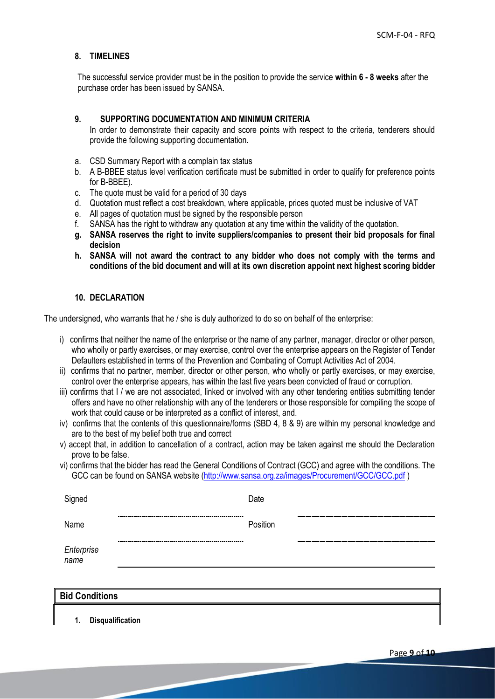### **8. TIMELINES**

The successful service provider must be in the position to provide the service **within 6 - 8 weeks** after the purchase order has been issued by SANSA.

### **9. SUPPORTING DOCUMENTATION AND MINIMUM CRITERIA**

In order to demonstrate their capacity and score points with respect to the criteria, tenderers should provide the following supporting documentation.

- a. CSD Summary Report with a complain tax status
- b. A B-BBEE status level verification certificate must be submitted in order to qualify for preference points for B-BBEE).
- c. The quote must be valid for a period of 30 days
- d. Quotation must reflect a cost breakdown, where applicable, prices quoted must be inclusive of VAT
- e. All pages of quotation must be signed by the responsible person
- f. SANSA has the right to withdraw any quotation at any time within the validity of the quotation.
- **g. SANSA reserves the right to invite suppliers/companies to present their bid proposals for final decision**
- **h. SANSA will not award the contract to any bidder who does not comply with the terms and conditions of the bid document and will at its own discretion appoint next highest scoring bidder**

### **10. DECLARATION**

The undersigned, who warrants that he / she is duly authorized to do so on behalf of the enterprise:

- i) confirms that neither the name of the enterprise or the name of any partner, manager, director or other person, who wholly or partly exercises, or may exercise, control over the enterprise appears on the Register of Tender Defaulters established in terms of the Prevention and Combating of Corrupt Activities Act of 2004.
- ii) confirms that no partner, member, director or other person, who wholly or partly exercises, or may exercise, control over the enterprise appears, has within the last five years been convicted of fraud or corruption.
- iii) confirms that I / we are not associated, linked or involved with any other tendering entities submitting tender offers and have no other relationship with any of the tenderers or those responsible for compiling the scope of work that could cause or be interpreted as a conflict of interest, and.
- iv) confirms that the contents of this questionnaire/forms (SBD 4, 8 & 9) are within my personal knowledge and are to the best of my belief both true and correct
- v) accept that, in addition to cancellation of a contract, action may be taken against me should the Declaration prove to be false.
- vi) confirms that the bidder has read the General Conditions of Contract (GCC) and agree with the conditions. The GCC can be found on SANSA website [\(http://www.sansa.org.za/images/Procurement/GCC/GCC.pdf](http://www.sansa.org.za/images/Procurement/GCC/GCC.pdf) )

| Signed             | Date     |     |
|--------------------|----------|-----|
| Name               | Position | --- |
| Enterprise<br>name |          |     |

| <b>Bid Conditions</b> |  |  |
|-----------------------|--|--|
|                       |  |  |

**1. Disqualification**